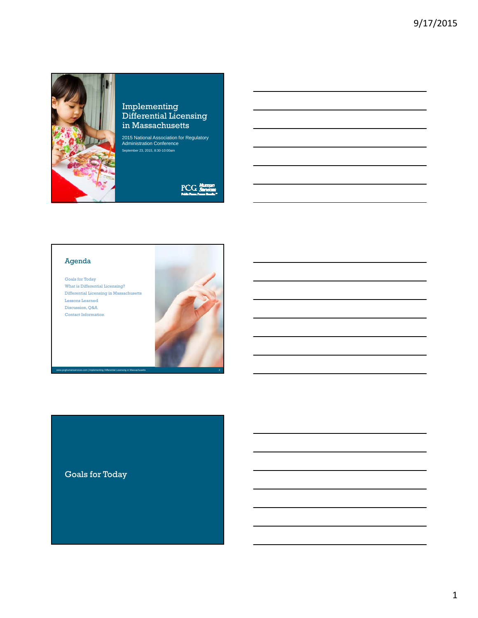

## Implementing Differential Licensing in Massachusetts

2015 National Association for Regulatory Administration Conference September 23, 2015, 8:30-10:00am

 $PCG\frac{H}{B}$ 

## Agenda

Goals for Today What is Differential Licensing? Differential Licensing in Massachusetts Lessons Learned Discussion, Q&A Contact Information



# Goals for Today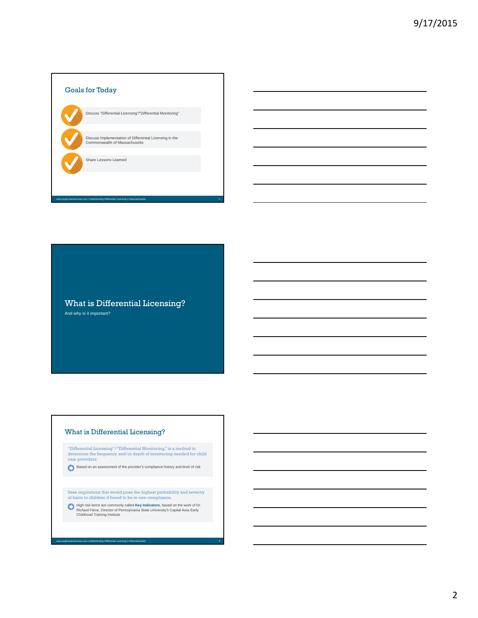

What is Differential Licensing? And why is it important?

#### What is Differential Licensing?

w.pcghumanservices.com | Implementing Differential Licensing in Massachusetts

"Differential Licensing"/"Differential Monitoring," is a method to determine the frequency and/or depth of monitoring needed for child care providers

Based on an assessment of the provider's compliance history and level of risk

Uses regulations that would pose the highest probability and severity of harm to children if found to be in non-compliance.

High risk items are commonly called **Key Indicators**, based on the work of Dr.<br>Richard Fiene, Director of Pennsylvania State University's Capital Area Early<br>Childhood Training Institute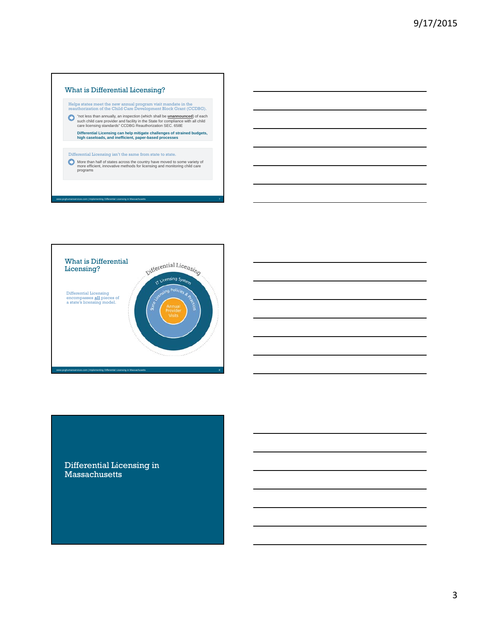### What is Differential Licensing?

Helps states meet the new annual program visit mandate in the reauthorization of the Child Care Development Block Grant (CCDBG).

"not less than annually, an inspection (which shall be <u>unannounced</u>) of each<br>such child care provider and facility in the State for compliance with all child<br>care licensing standards" CCDBG Reauthorization SEC. 658E

**Differential Licensing can help mitigate challenges of strained budgets, high caseloads, and inefficient, paper-based processes**

### Differential Licensing isn't the same from state to state.

lementing Differential Licensing in Mas

More than half of states across the country have moved to some variety of more efficient, innovative methods for licensing and monitoring child care programs



## Differential Licensing in **Massachusetts**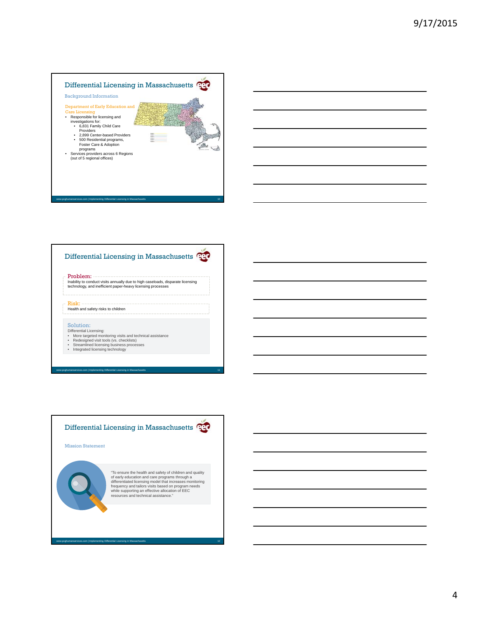## Differential Licensing in Massachusetts Background Information Department of Early Education and Care Licensing • Responsible for licensing and investigations for: • 6,831 Family Child Care Providers • 2,899 Center-based Providers • 500 Residential programs, Foster Care & Adoption Ë Æ.  $\rightarrow$ programs • Services providers across 6 Regions (out of 5 regional offices)

## Differential Licensing in Massachusetts

www.pcghumanservices.com | Implementing Differential Licensing in Massachusetts 10

#### Problem:

Inability to conduct visits annually due to high caseloads, disparate licensing technology, and inefficient paper-heavy licensing processes

#### Health and safety risks to children

#### Solution:

Risk:

- Differential Licensing:<br>• More targeted monitoring visits and technical assistance<br>• Redesigned visit tools (vs. checklists)<br>• Streamlined licensing technology<br>• Integrated licensing technology
- 

www.pcgreating.com |<br>Interview.com | Interview.com | Interview.com | Interview.com | Interview.com | Interview.com |

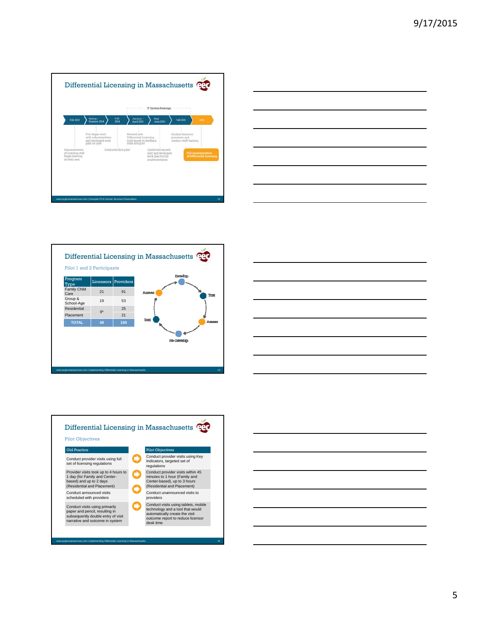







Old Practice Pilot Objectives Conduct provider visits using full set of licensing regulations Conduct provider visits using Key Indicators, targeted set of regulations Provider visits took up to 4 hours to 1 day (for Family and Center-based) and up to 2 days (Residential and Placement) Conduct provider visits within 45 minutes to 1 hour (Family and Center-based), up to 3 hours (Residential and Placement) Conduct announced visits scheduled with providers Conduct unannounced visits to providers Conduct visits using primarily paper and pencil, resulting in subsequently double entry of visit narrative and outcome in system Conduct visits using tablets, mobile technology and a tool that would automatically create the visit outcome report to reduce licensor desk time www.pcgreential implementing Differential Licensing in Massachusetts 15 Pilot Objectives

5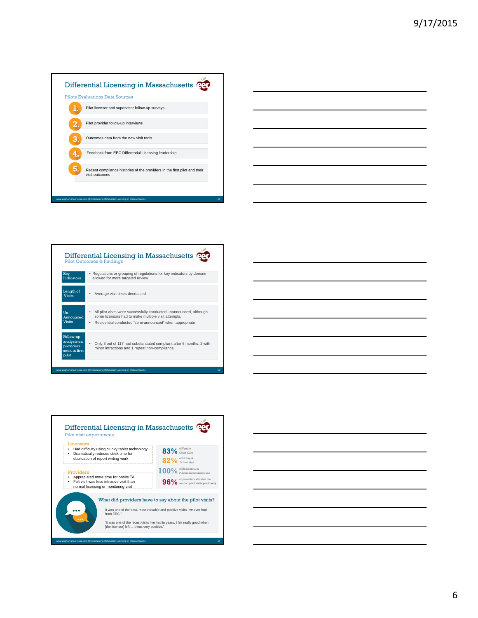





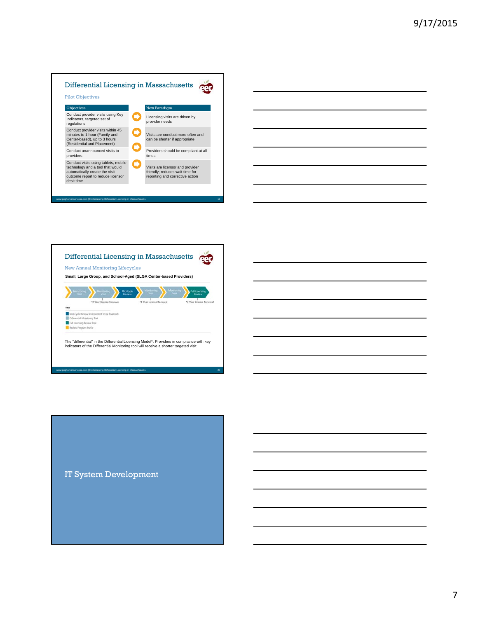





IT System Development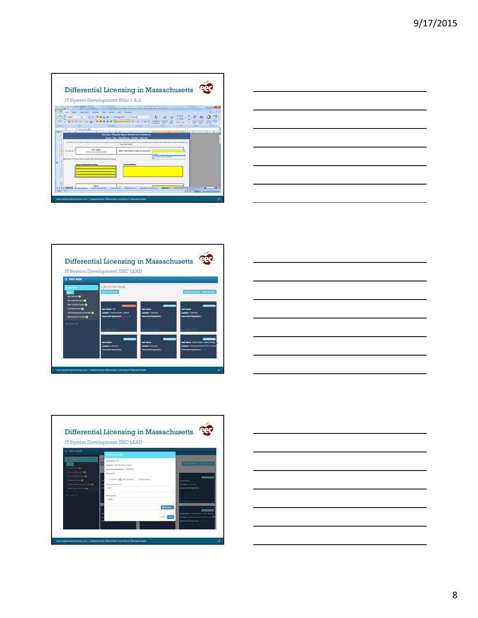









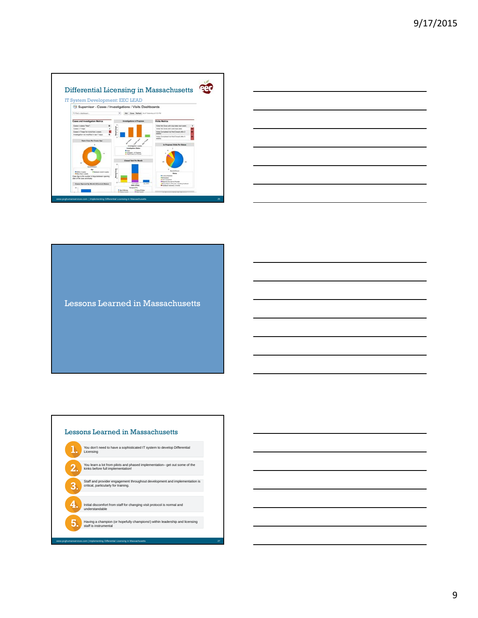



Lessons Learned in Massachusetts



9